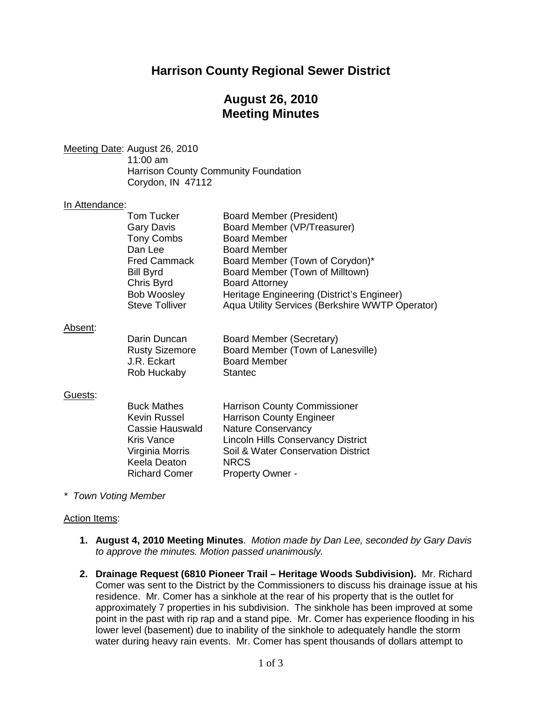# **Harrison County Regional Sewer District**

# **August 26, 2010 Meeting Minutes**

<u>Meeting Date</u>: August 26, 2010 11:00 am Harrison County Community Foundation Corydon, IN 47112

### In Attendance:

|         | <b>Tom Tucker</b><br><b>Gary Davis</b><br>Tony Combs<br>Dan Lee<br><b>Fred Cammack</b><br><b>Bill Byrd</b><br>Chris Byrd<br>Bob Woosley<br><b>Steve Tolliver</b> | Board Member (President)<br>Board Member (VP/Treasurer)<br><b>Board Member</b><br><b>Board Member</b><br>Board Member (Town of Corydon)*<br>Board Member (Town of Milltown)<br><b>Board Attorney</b><br>Heritage Engineering (District's Engineer)<br>Aqua Utility Services (Berkshire WWTP Operator) |
|---------|------------------------------------------------------------------------------------------------------------------------------------------------------------------|-------------------------------------------------------------------------------------------------------------------------------------------------------------------------------------------------------------------------------------------------------------------------------------------------------|
| Absent: | Darin Duncan<br><b>Rusty Sizemore</b><br>J.R. Eckart<br>Rob Huckaby                                                                                              | Board Member (Secretary)<br>Board Member (Town of Lanesville)<br><b>Board Member</b><br><b>Stantec</b>                                                                                                                                                                                                |
| Guests: | <b>Buck Mathes</b><br>Kevin Russel<br>Cassie Hauswald<br><b>Kris Vance</b><br>Virginia Morris<br>Keela Deaton<br><b>Richard Comer</b>                            | <b>Harrison County Commissioner</b><br><b>Harrison County Engineer</b><br><b>Nature Conservancy</b><br><b>Lincoln Hills Conservancy District</b><br>Soil & Water Conservation District<br><b>NRCS</b><br><b>Property Owner -</b>                                                                      |

*\* Town Voting Member*

#### Action Items:

- **1. August 4, 2010 Meeting Minutes**. *Motion made by Dan Lee, seconded by Gary Davis to approve the minutes. Motion passed unanimously.*
- **2. Drainage Request (6810 Pioneer Trail – Heritage Woods Subdivision).** Mr. Richard Comer was sent to the District by the Commissioners to discuss his drainage issue at his residence. Mr. Comer has a sinkhole at the rear of his property that is the outlet for approximately 7 properties in his subdivision. The sinkhole has been improved at some point in the past with rip rap and a stand pipe. Mr. Comer has experience flooding in his lower level (basement) due to inability of the sinkhole to adequately handle the storm water during heavy rain events. Mr. Comer has spent thousands of dollars attempt to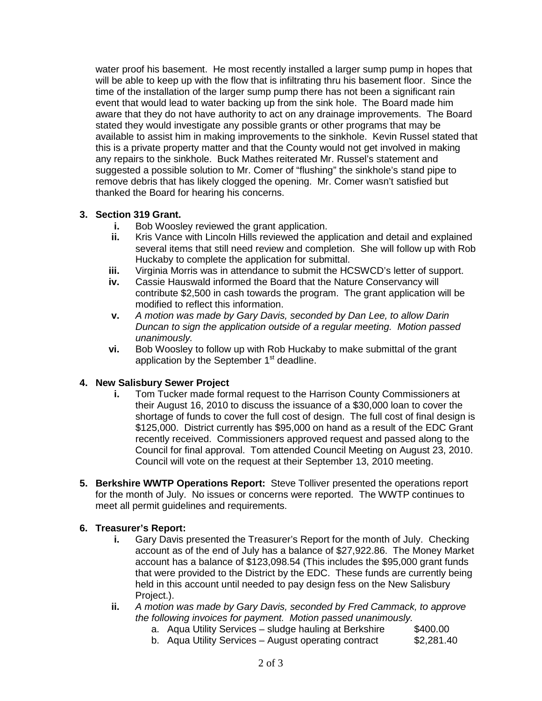water proof his basement. He most recently installed a larger sump pump in hopes that will be able to keep up with the flow that is infiltrating thru his basement floor. Since the time of the installation of the larger sump pump there has not been a significant rain event that would lead to water backing up from the sink hole. The Board made him aware that they do not have authority to act on any drainage improvements. The Board stated they would investigate any possible grants or other programs that may be available to assist him in making improvements to the sinkhole. Kevin Russel stated that this is a private property matter and that the County would not get involved in making any repairs to the sinkhole. Buck Mathes reiterated Mr. Russel's statement and suggested a possible solution to Mr. Comer of "flushing" the sinkhole's stand pipe to remove debris that has likely clogged the opening. Mr. Comer wasn't satisfied but thanked the Board for hearing his concerns.

### **3. Section 319 Grant.**

- **i.** Bob Woosley reviewed the grant application.
- **ii.** Kris Vance with Lincoln Hills reviewed the application and detail and explained several items that still need review and completion. She will follow up with Rob Huckaby to complete the application for submittal.
- **iii.** Virginia Morris was in attendance to submit the HCSWCD's letter of support.<br>**iv.** Cassie Hauswald informed the Board that the Nature Conservancy will
- **iv.** Cassie Hauswald informed the Board that the Nature Conservancy will contribute \$2,500 in cash towards the program. The grant application will be modified to reflect this information.
- **v.** *A motion was made by Gary Davis, seconded by Dan Lee, to allow Darin Duncan to sign the application outside of a regular meeting. Motion passed unanimously.*
- **vi.** Bob Woosley to follow up with Rob Huckaby to make submittal of the grant application by the September 1<sup>st</sup> deadline.

### **4. New Salisbury Sewer Project**

- **i.** Tom Tucker made formal request to the Harrison County Commissioners at their August 16, 2010 to discuss the issuance of a \$30,000 loan to cover the shortage of funds to cover the full cost of design. The full cost of final design is \$125,000. District currently has \$95,000 on hand as a result of the EDC Grant recently received. Commissioners approved request and passed along to the Council for final approval. Tom attended Council Meeting on August 23, 2010. Council will vote on the request at their September 13, 2010 meeting.
- **5. Berkshire WWTP Operations Report:** Steve Tolliver presented the operations report for the month of July. No issues or concerns were reported. The WWTP continues to meet all permit guidelines and requirements.

### **6. Treasurer's Report:**

- **i.** Gary Davis presented the Treasurer's Report for the month of July. Checking account as of the end of July has a balance of \$27,922.86. The Money Market account has a balance of \$123,098.54 (This includes the \$95,000 grant funds that were provided to the District by the EDC. These funds are currently being held in this account until needed to pay design fess on the New Salisbury Project.).
- **ii.** *A motion was made by Gary Davis, seconded by Fred Cammack, to approve the following invoices for payment. Motion passed unanimously.*
	- a. Aqua Utility Services sludge hauling at Berkshire \$400.00
	- b. Aqua Utility Services August operating contract \$2,281.40